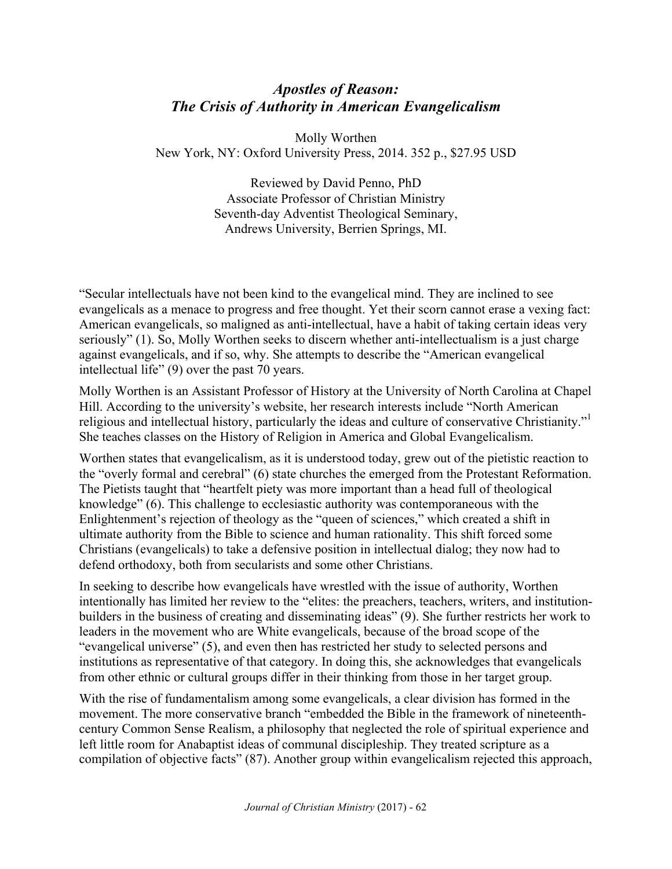## *Apostles of Reason: The Crisis of Authority in American Evangelicalism*

Molly Worthen New York, NY: Oxford University Press, 2014. 352 p., \$27.95 USD

> Reviewed by David Penno, PhD Associate Professor of Christian Ministry Seventh-day Adventist Theological Seminary, Andrews University, Berrien Springs, MI.

"Secular intellectuals have not been kind to the evangelical mind. They are inclined to see evangelicals as a menace to progress and free thought. Yet their scorn cannot erase a vexing fact: American evangelicals, so maligned as anti-intellectual, have a habit of taking certain ideas very seriously" (1). So, Molly Worthen seeks to discern whether anti-intellectualism is a just charge against evangelicals, and if so, why. She attempts to describe the "American evangelical intellectual life" (9) over the past 70 years.

Molly Worthen is an Assistant Professor of History at the University of North Carolina at Chapel Hill. According to the university's website, her research interests include "North American religious and intellectual history, particularly the ideas and culture of conservative Christianity."<sup>1</sup> She teaches classes on the History of Religion in America and Global Evangelicalism.

Worthen states that evangelicalism, as it is understood today, grew out of the pietistic reaction to the "overly formal and cerebral" (6) state churches the emerged from the Protestant Reformation. The Pietists taught that "heartfelt piety was more important than a head full of theological knowledge" (6). This challenge to ecclesiastic authority was contemporaneous with the Enlightenment's rejection of theology as the "queen of sciences," which created a shift in ultimate authority from the Bible to science and human rationality. This shift forced some Christians (evangelicals) to take a defensive position in intellectual dialog; they now had to defend orthodoxy, both from secularists and some other Christians.

In seeking to describe how evangelicals have wrestled with the issue of authority, Worthen intentionally has limited her review to the "elites: the preachers, teachers, writers, and institutionbuilders in the business of creating and disseminating ideas" (9). She further restricts her work to leaders in the movement who are White evangelicals, because of the broad scope of the "evangelical universe" (5), and even then has restricted her study to selected persons and institutions as representative of that category. In doing this, she acknowledges that evangelicals from other ethnic or cultural groups differ in their thinking from those in her target group.

With the rise of fundamentalism among some evangelicals, a clear division has formed in the movement. The more conservative branch "embedded the Bible in the framework of nineteenthcentury Common Sense Realism, a philosophy that neglected the role of spiritual experience and left little room for Anabaptist ideas of communal discipleship. They treated scripture as a compilation of objective facts" (87). Another group within evangelicalism rejected this approach,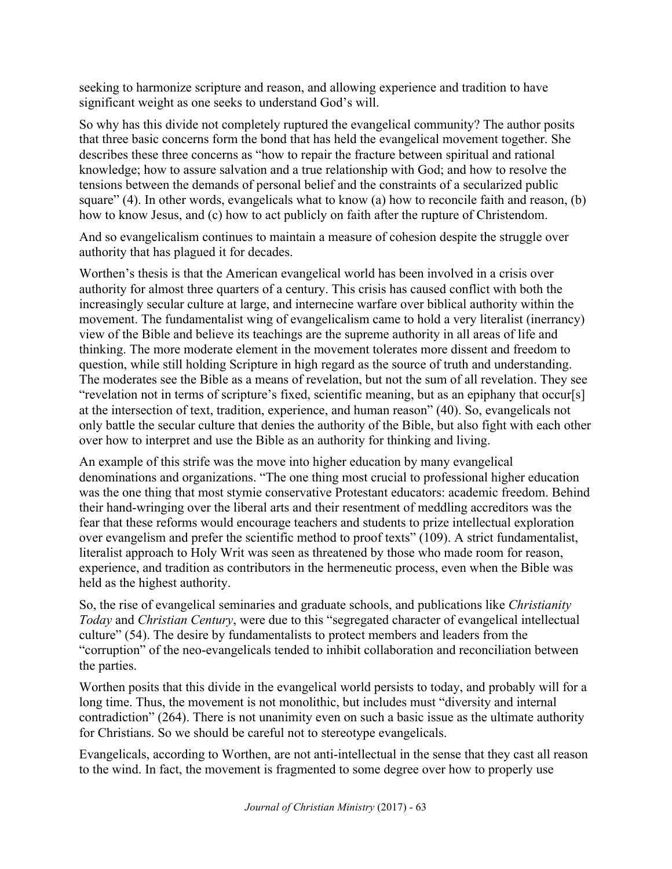seeking to harmonize scripture and reason, and allowing experience and tradition to have significant weight as one seeks to understand God's will.

So why has this divide not completely ruptured the evangelical community? The author posits that three basic concerns form the bond that has held the evangelical movement together. She describes these three concerns as "how to repair the fracture between spiritual and rational knowledge; how to assure salvation and a true relationship with God; and how to resolve the tensions between the demands of personal belief and the constraints of a secularized public square" (4). In other words, evangelicals what to know (a) how to reconcile faith and reason, (b) how to know Jesus, and (c) how to act publicly on faith after the rupture of Christendom.

And so evangelicalism continues to maintain a measure of cohesion despite the struggle over authority that has plagued it for decades.

Worthen's thesis is that the American evangelical world has been involved in a crisis over authority for almost three quarters of a century. This crisis has caused conflict with both the increasingly secular culture at large, and internecine warfare over biblical authority within the movement. The fundamentalist wing of evangelicalism came to hold a very literalist (inerrancy) view of the Bible and believe its teachings are the supreme authority in all areas of life and thinking. The more moderate element in the movement tolerates more dissent and freedom to question, while still holding Scripture in high regard as the source of truth and understanding. The moderates see the Bible as a means of revelation, but not the sum of all revelation. They see "revelation not in terms of scripture's fixed, scientific meaning, but as an epiphany that occur[s] at the intersection of text, tradition, experience, and human reason" (40). So, evangelicals not only battle the secular culture that denies the authority of the Bible, but also fight with each other over how to interpret and use the Bible as an authority for thinking and living.

An example of this strife was the move into higher education by many evangelical denominations and organizations. "The one thing most crucial to professional higher education was the one thing that most stymie conservative Protestant educators: academic freedom. Behind their hand-wringing over the liberal arts and their resentment of meddling accreditors was the fear that these reforms would encourage teachers and students to prize intellectual exploration over evangelism and prefer the scientific method to proof texts" (109). A strict fundamentalist, literalist approach to Holy Writ was seen as threatened by those who made room for reason, experience, and tradition as contributors in the hermeneutic process, even when the Bible was held as the highest authority.

So, the rise of evangelical seminaries and graduate schools, and publications like *Christianity Today* and *Christian Century*, were due to this "segregated character of evangelical intellectual culture" (54). The desire by fundamentalists to protect members and leaders from the "corruption" of the neo-evangelicals tended to inhibit collaboration and reconciliation between the parties.

Worthen posits that this divide in the evangelical world persists to today, and probably will for a long time. Thus, the movement is not monolithic, but includes must "diversity and internal contradiction" (264). There is not unanimity even on such a basic issue as the ultimate authority for Christians. So we should be careful not to stereotype evangelicals.

Evangelicals, according to Worthen, are not anti-intellectual in the sense that they cast all reason to the wind. In fact, the movement is fragmented to some degree over how to properly use